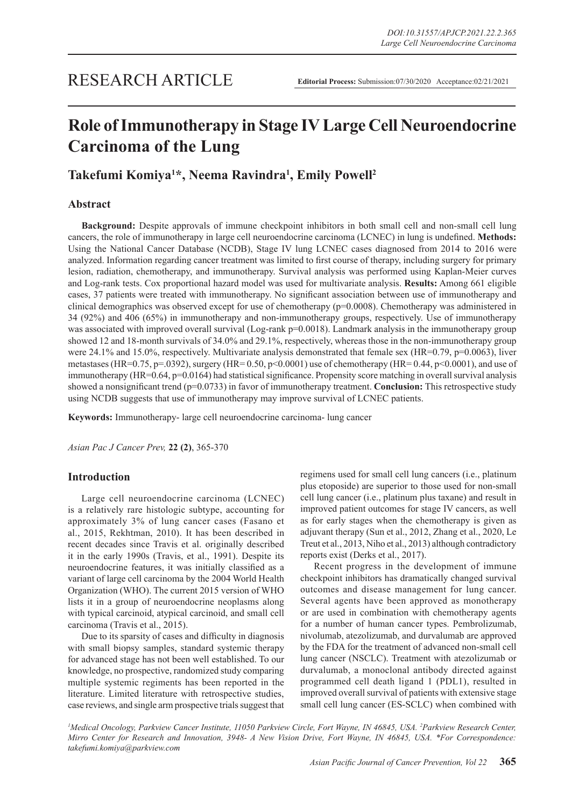# **Role of Immunotherapy in Stage IV Large Cell Neuroendocrine Carcinoma of the Lung**

## **Takefumi Komiya1 \*, Neema Ravindra1 , Emily Powell2**

## **Abstract**

**Background:** Despite approvals of immune checkpoint inhibitors in both small cell and non-small cell lung cancers, the role of immunotherapy in large cell neuroendocrine carcinoma (LCNEC) in lung is undefined. **Methods:**  Using the National Cancer Database (NCDB), Stage IV lung LCNEC cases diagnosed from 2014 to 2016 were analyzed. Information regarding cancer treatment was limited to first course of therapy, including surgery for primary lesion, radiation, chemotherapy, and immunotherapy. Survival analysis was performed using Kaplan-Meier curves and Log-rank tests. Cox proportional hazard model was used for multivariate analysis. **Results:** Among 661 eligible cases, 37 patients were treated with immunotherapy. No significant association between use of immunotherapy and clinical demographics was observed except for use of chemotherapy (p=0.0008). Chemotherapy was administered in 34 (92%) and 406 (65%) in immunotherapy and non-immunotherapy groups, respectively. Use of immunotherapy was associated with improved overall survival (Log-rank p=0.0018). Landmark analysis in the immunotherapy group showed 12 and 18-month survivals of 34.0% and 29.1%, respectively, whereas those in the non-immunotherapy group were 24.1% and 15.0%, respectively. Multivariate analysis demonstrated that female sex (HR=0.79, p=0.0063), liver metastases (HR=0.75, p=.0392), surgery (HR= 0.50, p<0.0001) use of chemotherapy (HR= 0.44, p<0.0001), and use of immunotherapy (HR=0.64, p=0.0164) had statistical significance. Propensity score matching in overall survival analysis showed a nonsignificant trend (p=0.0733) in favor of immunotherapy treatment. **Conclusion:** This retrospective study using NCDB suggests that use of immunotherapy may improve survival of LCNEC patients.

**Keywords:** Immunotherapy- large cell neuroendocrine carcinoma- lung cancer

*Asian Pac J Cancer Prev,* **22 (2)**, 365-370

## **Introduction**

Large cell neuroendocrine carcinoma (LCNEC) is a relatively rare histologic subtype, accounting for approximately 3% of lung cancer cases (Fasano et al., 2015, Rekhtman, 2010). It has been described in recent decades since Travis et al. originally described it in the early 1990s (Travis, et al., 1991). Despite its neuroendocrine features, it was initially classified as a variant of large cell carcinoma by the 2004 World Health Organization (WHO). The current 2015 version of WHO lists it in a group of neuroendocrine neoplasms along with typical carcinoid, atypical carcinoid, and small cell carcinoma (Travis et al., 2015).

Due to its sparsity of cases and difficulty in diagnosis with small biopsy samples, standard systemic therapy for advanced stage has not been well established. To our knowledge, no prospective, randomized study comparing multiple systemic regiments has been reported in the literature. Limited literature with retrospective studies, case reviews, and single arm prospective trials suggest that regimens used for small cell lung cancers (i.e., platinum plus etoposide) are superior to those used for non-small cell lung cancer (i.e., platinum plus taxane) and result in improved patient outcomes for stage IV cancers, as well as for early stages when the chemotherapy is given as adjuvant therapy (Sun et al., 2012, Zhang et al., 2020, Le Treut et al., 2013, Niho et al., 2013) although contradictory reports exist (Derks et al., 2017).

Recent progress in the development of immune checkpoint inhibitors has dramatically changed survival outcomes and disease management for lung cancer. Several agents have been approved as monotherapy or are used in combination with chemotherapy agents for a number of human cancer types. Pembrolizumab, nivolumab, atezolizumab, and durvalumab are approved by the FDA for the treatment of advanced non-small cell lung cancer (NSCLC). Treatment with atezolizumab or durvalumab, a monoclonal antibody directed against programmed cell death ligand 1 (PDL1), resulted in improved overall survival of patients with extensive stage small cell lung cancer (ES-SCLC) when combined with

<sup>1</sup>Medical Oncology, Parkview Cancer Institute, 11050 Parkview Circle, Fort Wayne, IN 46845, USA. <sup>2</sup>Parkview Research Center, *Mirro Center for Research and Innovation, 3948- A New Vision Drive, Fort Wayne, IN 46845, USA. \*For Correspondence: takefumi.komiya@parkview.com*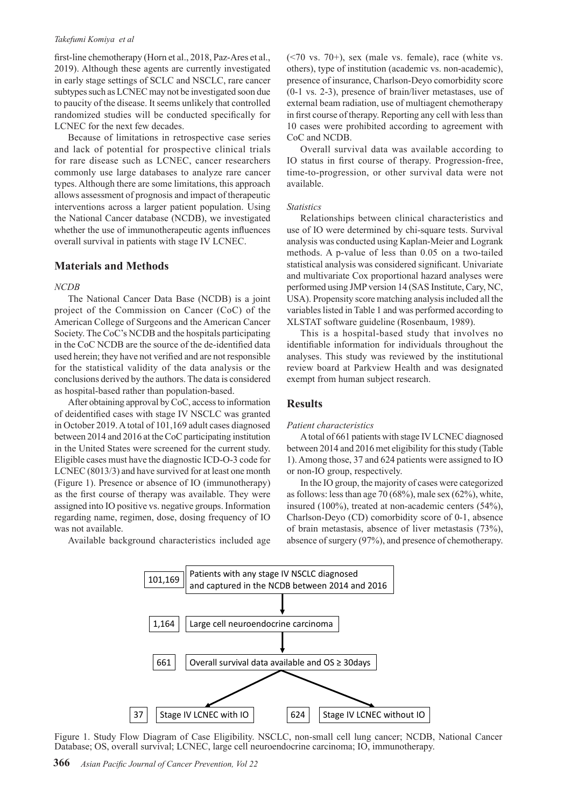#### *Takefumi Komiya et al*

first-line chemotherapy (Horn et al., 2018, Paz-Ares et al., 2019). Although these agents are currently investigated in early stage settings of SCLC and NSCLC, rare cancer subtypes such as LCNEC may not be investigated soon due to paucity of the disease. It seems unlikely that controlled randomized studies will be conducted specifically for LCNEC for the next few decades.

Because of limitations in retrospective case series and lack of potential for prospective clinical trials for rare disease such as LCNEC, cancer researchers commonly use large databases to analyze rare cancer types. Although there are some limitations, this approach allows assessment of prognosis and impact of therapeutic interventions across a larger patient population. Using the National Cancer database (NCDB), we investigated whether the use of immunotherapeutic agents influences overall survival in patients with stage IV LCNEC.

#### **Materials and Methods**

#### *NCDB*

The National Cancer Data Base (NCDB) is a joint project of the Commission on Cancer (CoC) of the American College of Surgeons and the American Cancer Society. The CoC's NCDB and the hospitals participating in the CoC NCDB are the source of the de-identified data used herein; they have not verified and are not responsible for the statistical validity of the data analysis or the conclusions derived by the authors. The data is considered as hospital-based rather than population-based.

After obtaining approval by CoC, access to information of deidentified cases with stage IV NSCLC was granted in October 2019. A total of 101,169 adult cases diagnosed between 2014 and 2016 at the CoC participating institution in the United States were screened for the current study. Eligible cases must have the diagnostic ICD-O-3 code for LCNEC (8013/3) and have survived for at least one month (Figure 1). Presence or absence of IO (immunotherapy) as the first course of therapy was available. They were assigned into IO positive vs. negative groups. Information regarding name, regimen, dose, dosing frequency of IO was not available.

Available background characteristics included age

 $(\leq 70 \text{ vs. } 70+)$ , sex (male vs. female), race (white vs. others), type of institution (academic vs. non-academic), presence of insurance, Charlson-Deyo comorbidity score (0-1 vs. 2-3), presence of brain/liver metastases, use of external beam radiation, use of multiagent chemotherapy in first course of therapy. Reporting any cell with less than 10 cases were prohibited according to agreement with CoC and NCDB.

Overall survival data was available according to IO status in first course of therapy. Progression-free, time-to-progression, or other survival data were not available.

#### *Statistics*

Relationships between clinical characteristics and use of IO were determined by chi-square tests. Survival analysis was conducted using Kaplan-Meier and Logrank methods. A p-value of less than 0.05 on a two-tailed statistical analysis was considered significant. Univariate and multivariate Cox proportional hazard analyses were performed using JMP version 14 (SAS Institute, Cary, NC, USA). Propensity score matching analysis included all the variables listed in Table 1 and was performed according to XLSTAT software guideline (Rosenbaum, 1989).

This is a hospital-based study that involves no identifiable information for individuals throughout the analyses. This study was reviewed by the institutional review board at Parkview Health and was designated exempt from human subject research.

#### **Results**

#### *Patient characteristics*

A total of 661 patients with stage IV LCNEC diagnosed between 2014 and 2016 met eligibility for this study (Table 1). Among those, 37 and 624 patients were assigned to IO or non-IO group, respectively.

In the IO group, the majority of cases were categorized as follows: less than age 70 (68%), male sex (62%), white, insured (100%), treated at non-academic centers (54%), Charlson-Deyo (CD) comorbidity score of 0-1, absence of brain metastasis, absence of liver metastasis (73%), absence of surgery (97%), and presence of chemotherapy.



Figure 1. Study Flow Diagram of Case Eligibility. NSCLC, non-small cell lung cancer; NCDB, National Cancer Database; OS, overall survival; LCNEC, large cell neuroendocrine carcinoma; IO, immunotherapy.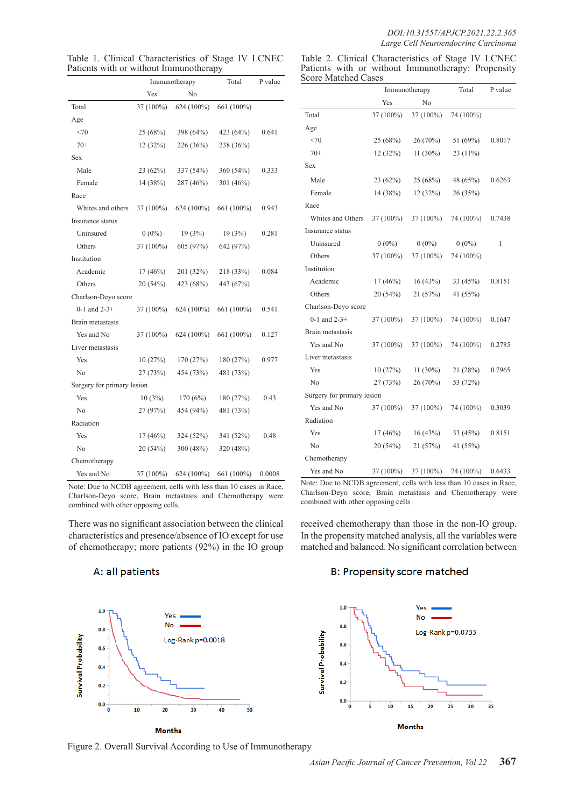#### *DOI:10.31557/APJCP.2021.22.2.365 Large Cell Neuroendocrine Carcinoma*

| Table 1. Clinical Characteristics of Stage IV LCNEC |  |
|-----------------------------------------------------|--|
| Patients with or without Immunotherapy              |  |

Table 2. Clinical Characteristics of Stage IV LCNEC Patients with or without Immunotherapy: Propensity Score Matched Cases

|                            | Immunotherapy |              | Total      | P value |
|----------------------------|---------------|--------------|------------|---------|
|                            | Yes           | No           |            |         |
| Total                      | 37 (100%)     | $624(100\%)$ | 661 (100%) |         |
| Age                        |               |              |            |         |
| <70                        | 25 (68%)      | 398 (64%)    | 423 (64%)  | 0.641   |
| $70+$                      | 12(32%)       | 226 (36%)    | 238 (36%)  |         |
| Sex                        |               |              |            |         |
| Male                       | 23 (62%)      | 337 (54%)    | 360 (54%)  | 0.333   |
| Female                     | 14 (38%)      | 287 (46%)    | 301 (46%)  |         |
| Race                       |               |              |            |         |
| Whites and others          | 37 (100%)     | 624 (100%)   | 661 (100%) | 0.943   |
| Insurance status           |               |              |            |         |
| Uninsured                  | $0(0\%)$      | 19(3%)       | 19(3%)     | 0.281   |
| Others                     | 37 (100%)     | 605 (97%)    | 642 (97%)  |         |
| Institution                |               |              |            |         |
| Academic                   | $17(46\%)$    | 201 (32%)    | 218 (33%)  | 0.084   |
| Others                     | 20 (54%)      | 423 (68%)    | 443 (67%)  |         |
| Charlson-Deyo score        |               |              |            |         |
| 0-1 and $2-3+$             | 37 (100%)     | $624(100\%)$ | 661 (100%) | 0.541   |
| Brain metastasis           |               |              |            |         |
| Yes and No                 | 37 (100%)     | $624(100\%)$ | 661 (100%) | 0.127   |
| Liver metastasis           |               |              |            |         |
| Yes                        | 10(27%)       | 170 (27%)    | 180 (27%)  | 0.977   |
| N <sub>0</sub>             | 27 (73%)      | 454 (73%)    | 481 (73%)  |         |
| Surgery for primary lesion |               |              |            |         |
| Yes                        | 10(3%)        | 170(6%)      | 180(27%)   | 0.43    |
| N <sub>0</sub>             | 27 (97%)      | 454 (94%)    | 481 (73%)  |         |
| Radiation                  |               |              |            |         |
| Yes                        | $17(46\%)$    | 324 (52%)    | 341 (52%)  | 0.48    |
| N <sub>0</sub>             | 20 (54%)      | 300 (48%)    | 320 (48%)  |         |
| Chemotherapy               |               |              |            |         |
| Yes and No                 | 37 (100%)     | 624 (100%)   | 661 (100%) | 0.0008  |

Note: Due to NCDB agreement, cells with less than 10 cases in Race, Charlson-Deyo score, Brain metastasis and Chemotherapy were combined with other opposing cells.

There was no significant association between the clinical characteristics and presence/absence of IO except for use of chemotherapy; more patients (92%) in the IO group

A: all patients



Figure 2. Overall Survival According to Use of Immunotherapy

|                            | Immunotherapy |             | Total     | P value |
|----------------------------|---------------|-------------|-----------|---------|
|                            | Yes           | No          |           |         |
| Total                      | 37 (100%)     | 37 (100%)   | 74 (100%) |         |
| Age                        |               |             |           |         |
| <70                        | 25 (68%)      | 26(70%)     | 51 (69%)  | 0.8017  |
| $70+$                      | 12(32%)       | $11(30\%)$  | 23 (11%)  |         |
| Sex                        |               |             |           |         |
| Male                       | 23 (62%)      | 25 (68%)    | 48 (65%)  | 0.6263  |
| Female                     | 14 (38%)      | 12(32%)     | 26 (35%)  |         |
| Race                       |               |             |           |         |
| Whites and Others          | 37 (100%)     | 37 (100%)   | 74 (100%) | 0.7438  |
| Insurance status           |               |             |           |         |
| Uninsured                  | $0(0\%)$      | $0(0\%)$    | $0(0\%)$  | 1       |
| Others                     | 37 (100%)     | 37 (100%)   | 74 (100%) |         |
| Institution                |               |             |           |         |
| Academic                   | 17(46%)       | 16(43%)     | 33 (45%)  | 0.8151  |
| Others                     | 20 (54%)      | 21 (57%)    | 41 (55%)  |         |
| Charlson-Deyo score        |               |             |           |         |
| $0-1$ and $2-3+$           | 37 (100%)     | 37 (100%)   | 74 (100%) | 0.1647  |
| Brain metastasis           |               |             |           |         |
| Yes and No                 | 37 (100%)     | 37 (100%)   | 74 (100%) | 0.2785  |
| Liver metastasis           |               |             |           |         |
| Yes                        | 10(27%)       | 11 $(30\%)$ | 21 (28%)  | 0.7965  |
| No                         | 27 (73%)      | 26 (70%)    | 53 (72%)  |         |
| Surgery for primary lesion |               |             |           |         |
| Yes and No                 | 37 (100%)     | 37 (100%)   | 74 (100%) | 0.3039  |
| Radiation                  |               |             |           |         |
| Yes                        | 17(46%)       | 16(43%)     | 33 (45%)  | 0.8151  |
| No                         | 20 (54%)      | 21 (57%)    | 41 (55%)  |         |
| Chemotherapy               |               |             |           |         |
| Yes and No                 | 37 (100%)     | 37 (100%)   | 74 (100%) | 0.6433  |

Note: Due to NCDB agreement, cells with less than 10 cases in Race, Charlson-Deyo score, Brain metastasis and Chemotherapy were combined with other opposing cells

received chemotherapy than those in the non-IO group. In the propensity matched analysis, all the variables were matched and balanced. No significant correlation between

## B: Propensity score matched

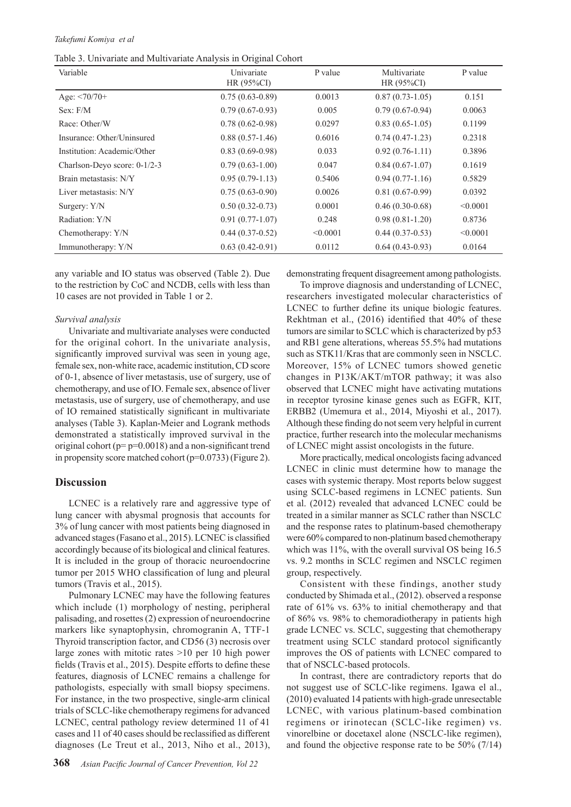#### *Takefumi Komiya et al*

Table 3. Univariate and Multivariate Analysis in Original Cohort

| Variable                     | Univariate<br>HR $(95\%CI)$ | P value  | Multivariate<br>HR $(95\%CI)$ | P value  |
|------------------------------|-----------------------------|----------|-------------------------------|----------|
| Age: $\leq$ 70/70+           | $0.75(0.63-0.89)$           | 0.0013   | $0.87(0.73-1.05)$             | 0.151    |
| Sex: F/M                     | $0.79(0.67-0.93)$           | 0.005    | $0.79(0.67-0.94)$             | 0.0063   |
| Race: Other/W                | $0.78(0.62 - 0.98)$         | 0.0297   | $0.83(0.65-1.05)$             | 0.1199   |
| Insurance: Other/Uninsured   | $0.88(0.57-1.46)$           | 0.6016   | $0.74(0.47-1.23)$             | 0.2318   |
| Institution: Academic/Other  | $0.83(0.69-0.98)$           | 0.033    | $0.92(0.76-1.11)$             | 0.3896   |
| Charlson-Deyo score: 0-1/2-3 | $0.79(0.63-1.00)$           | 0.047    | $0.84(0.67-1.07)$             | 0.1619   |
| Brain metastasis: N/Y        | $0.95(0.79-1.13)$           | 0.5406   | $0.94(0.77-1.16)$             | 0.5829   |
| Liver metastasis: N/Y        | $0.75(0.63-0.90)$           | 0.0026   | $0.81(0.67-0.99)$             | 0.0392   |
| Surgery: Y/N                 | $0.50(0.32-0.73)$           | 0.0001   | $0.46(0.30-0.68)$             | < 0.0001 |
| Radiation: Y/N               | $0.91(0.77-1.07)$           | 0.248    | $0.98(0.81-1.20)$             | 0.8736   |
| Chemotherapy: Y/N            | $0.44(0.37-0.52)$           | < 0.0001 | $0.44(0.37-0.53)$             | < 0.0001 |
| Immunotherapy: Y/N           | $0.63(0.42-0.91)$           | 0.0112   | $0.64(0.43-0.93)$             | 0.0164   |

any variable and IO status was observed (Table 2). Due to the restriction by CoC and NCDB, cells with less than 10 cases are not provided in Table 1 or 2.

#### *Survival analysis*

Univariate and multivariate analyses were conducted for the original cohort. In the univariate analysis, significantly improved survival was seen in young age, female sex, non-white race, academic institution, CD score of 0-1, absence of liver metastasis, use of surgery, use of chemotherapy, and use of IO. Female sex, absence of liver metastasis, use of surgery, use of chemotherapy, and use of IO remained statistically significant in multivariate analyses (Table 3). Kaplan-Meier and Logrank methods demonstrated a statistically improved survival in the original cohort ( $p=p=0.0018$ ) and a non-significant trend in propensity score matched cohort (p=0.0733) (Figure 2).

## **Discussion**

LCNEC is a relatively rare and aggressive type of lung cancer with abysmal prognosis that accounts for 3% of lung cancer with most patients being diagnosed in advanced stages (Fasano et al., 2015). LCNEC is classified accordingly because of its biological and clinical features. It is included in the group of thoracic neuroendocrine tumor per 2015 WHO classification of lung and pleural tumors (Travis et al., 2015).

Pulmonary LCNEC may have the following features which include (1) morphology of nesting, peripheral palisading, and rosettes (2) expression of neuroendocrine markers like synaptophysin, chromogranin A, TTF-1 Thyroid transcription factor, and CD56 (3) necrosis over large zones with mitotic rates >10 per 10 high power fields (Travis et al., 2015). Despite efforts to define these features, diagnosis of LCNEC remains a challenge for pathologists, especially with small biopsy specimens. For instance, in the two prospective, single-arm clinical trials of SCLC-like chemotherapy regimens for advanced LCNEC, central pathology review determined 11 of 41 cases and 11 of 40 cases should be reclassified as different diagnoses (Le Treut et al., 2013, Niho et al., 2013), demonstrating frequent disagreement among pathologists.

To improve diagnosis and understanding of LCNEC, researchers investigated molecular characteristics of LCNEC to further define its unique biologic features. Rekhtman et al., (2016) identified that 40% of these tumors are similar to SCLC which is characterized by p53 and RB1 gene alterations, whereas 55.5% had mutations such as STK11/Kras that are commonly seen in NSCLC. Moreover, 15% of LCNEC tumors showed genetic changes in P13K/AKT/mTOR pathway; it was also observed that LCNEC might have activating mutations in receptor tyrosine kinase genes such as EGFR, KIT, ERBB2 (Umemura et al., 2014, Miyoshi et al., 2017). Although these finding do not seem very helpful in current practice, further research into the molecular mechanisms of LCNEC might assist oncologists in the future.

More practically, medical oncologists facing advanced LCNEC in clinic must determine how to manage the cases with systemic therapy. Most reports below suggest using SCLC-based regimens in LCNEC patients. Sun et al. (2012) revealed that advanced LCNEC could be treated in a similar manner as SCLC rather than NSCLC and the response rates to platinum-based chemotherapy were 60% compared to non-platinum based chemotherapy which was 11%, with the overall survival OS being 16.5 vs. 9.2 months in SCLC regimen and NSCLC regimen group, respectively.

Consistent with these findings, another study conducted by Shimada et al., (2012). observed a response rate of 61% vs. 63% to initial chemotherapy and that of 86% vs. 98% to chemoradiotherapy in patients high grade LCNEC vs. SCLC, suggesting that chemotherapy treatment using SCLC standard protocol significantly improves the OS of patients with LCNEC compared to that of NSCLC-based protocols.

In contrast, there are contradictory reports that do not suggest use of SCLC-like regimens. Igawa el al., (2010) evaluated 14 patients with high-grade unresectable LCNEC, with various platinum-based combination regimens or irinotecan (SCLC-like regimen) vs. vinorelbine or docetaxel alone (NSCLC-like regimen), and found the objective response rate to be 50% (7/14)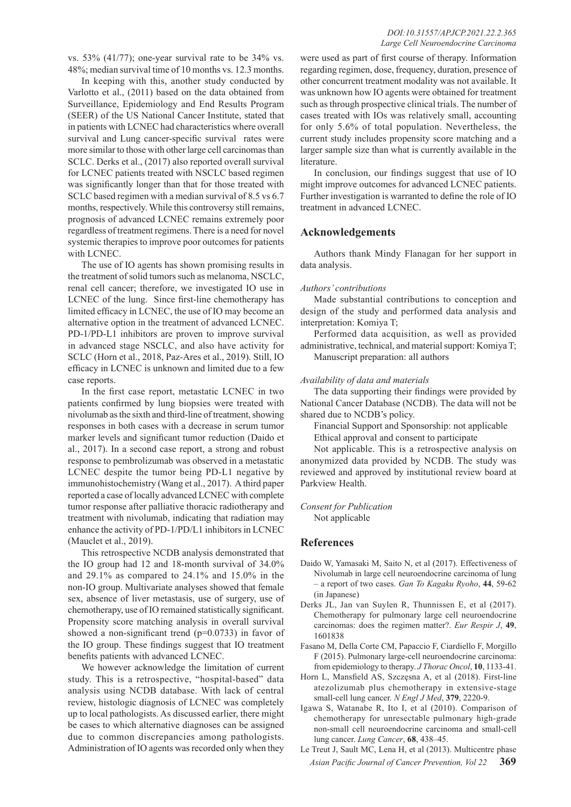vs. 53% (41/77); one-year survival rate to be 34% vs. 48%; median survival time of 10 months vs. 12.3 months.

In keeping with this, another study conducted by Varlotto et al., (2011) based on the data obtained from Surveillance, Epidemiology and End Results Program (SEER) of the US National Cancer Institute, stated that in patients with LCNEC had characteristics where overall survival and Lung cancer-specific survival rates were more similar to those with other large cell carcinomas than SCLC. Derks et al., (2017) also reported overall survival for LCNEC patients treated with NSCLC based regimen was significantly longer than that for those treated with SCLC based regimen with a median survival of 8.5 vs 6.7 months, respectively. While this controversy still remains, prognosis of advanced LCNEC remains extremely poor regardless of treatment regimens. There is a need for novel systemic therapies to improve poor outcomes for patients with LCNEC.

The use of IO agents has shown promising results in the treatment of solid tumors such as melanoma, NSCLC, renal cell cancer; therefore, we investigated IO use in LCNEC of the lung. Since first-line chemotherapy has limited efficacy in LCNEC, the use of IO may become an alternative option in the treatment of advanced LCNEC. PD-1/PD-L1 inhibitors are proven to improve survival in advanced stage NSCLC, and also have activity for SCLC (Horn et al., 2018, Paz-Ares et al., 2019). Still, IO efficacy in LCNEC is unknown and limited due to a few case reports.

In the first case report, metastatic LCNEC in two patients confirmed by lung biopsies were treated with nivolumab as the sixth and third-line of treatment, showing responses in both cases with a decrease in serum tumor marker levels and significant tumor reduction (Daido et al., 2017). In a second case report, a strong and robust response to pembrolizumab was observed in a metastatic LCNEC despite the tumor being PD-L1 negative by immunohistochemistry (Wang et al., 2017). A third paper reported a case of locally advanced LCNEC with complete tumor response after palliative thoracic radiotherapy and treatment with nivolumab, indicating that radiation may enhance the activity of PD-1/PD/L1 inhibitors in LCNEC (Mauclet et al., 2019).

This retrospective NCDB analysis demonstrated that the IO group had 12 and 18-month survival of 34.0% and 29.1% as compared to 24.1% and 15.0% in the non-IO group. Multivariate analyses showed that female sex, absence of liver metastasis, use of surgery, use of chemotherapy, use of IO remained statistically significant. Propensity score matching analysis in overall survival showed a non-significant trend (p=0.0733) in favor of the IO group. These findings suggest that IO treatment benefits patients with advanced LCNEC.

We however acknowledge the limitation of current study. This is a retrospective, "hospital-based" data analysis using NCDB database. With lack of central review, histologic diagnosis of LCNEC was completely up to local pathologists. As discussed earlier, there might be cases to which alternative diagnoses can be assigned due to common discrepancies among pathologists. Administration of IO agents was recorded only when they

were used as part of first course of therapy. Information regarding regimen, dose, frequency, duration, presence of other concurrent treatment modality was not available. It was unknown how IO agents were obtained for treatment such as through prospective clinical trials. The number of cases treated with IOs was relatively small, accounting for only 5.6% of total population. Nevertheless, the current study includes propensity score matching and a larger sample size than what is currently available in the literature.

In conclusion, our findings suggest that use of IO might improve outcomes for advanced LCNEC patients. Further investigation is warranted to define the role of IO treatment in advanced LCNEC.

## **Acknowledgements**

Authors thank Mindy Flanagan for her support in data analysis.

#### *Authors' contributions*

Made substantial contributions to conception and design of the study and performed data analysis and interpretation: Komiya T;

Performed data acquisition, as well as provided administrative, technical, and material support: Komiya T; Manuscript preparation: all authors

## *Availability of data and materials*

The data supporting their findings were provided by National Cancer Database (NCDB). The data will not be shared due to NCDB's policy.

Financial Support and Sponsorship: not applicable Ethical approval and consent to participate

Not applicable. This is a retrospective analysis on anonymized data provided by NCDB. The study was reviewed and approved by institutional review board at Parkview Health.

## *Consent for Publication*

Not applicable

## **References**

- Daido W, Yamasaki M, Saito N, et al (2017). Effectiveness of Nivolumab in large cell neuroendocrine carcinoma of lung – a report of two cases. *Gan To Kagaku Ryoho*, **44**, 59-62 (in Japanese)
- Derks JL, Jan van Suylen R, Thunnissen E, et al (2017). Chemotherapy for pulmonary large cell neuroendocrine carcinomas: does the regimen matter?. *Eur Respir J*, **49**, 1601838
- Fasano M, Della Corte CM, Papaccio F, Ciardiello F, Morgillo F (2015). Pulmonary large-cell neuroendocrine carcinoma: from epidemiology to therapy. *J Thorac Oncol*, **10**, 1133-41.
- Horn L, Mansfield AS, Szczęsna A, et al (2018). First-line atezolizumab plus chemotherapy in extensive-stage small-cell lung cancer. *N Engl J Med*, **379**, 2220-9.
- Igawa S, Watanabe R, Ito I, et al (2010). Comparison of chemotherapy for unresectable pulmonary high-grade non-small cell neuroendocrine carcinoma and small-cell lung cancer. *Lung Cancer*, **68**, 438–45.
- *Asian Pacific Journal of Cancer Prevention, Vol 22* **369** Le Treut J, Sault MC, Lena H, et al (2013). Multicentre phase